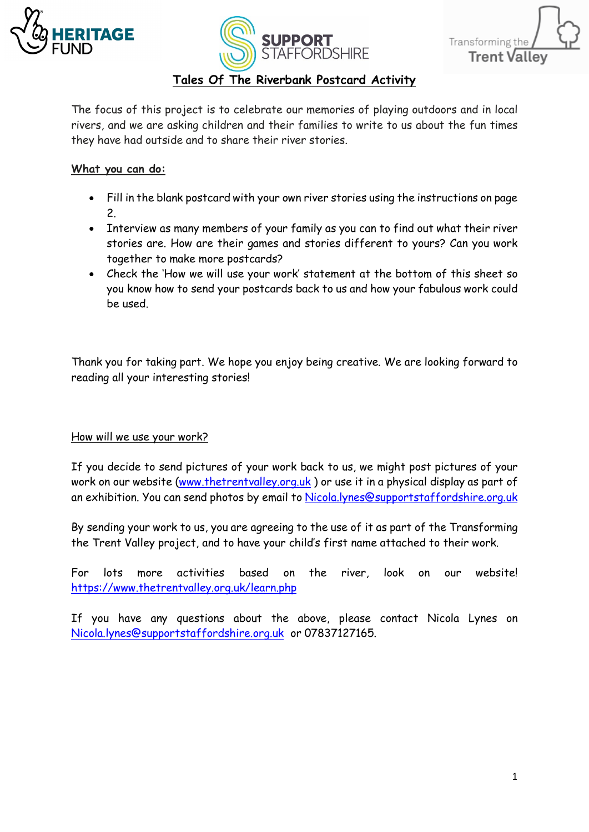





## **Tales Of The Riverbank Postcard Activity**

The focus of this project is to celebrate our memories of playing outdoors and in local rivers, and we are asking children and their families to write to us about the fun times they have had outside and to share their river stories.

## **What you can do:**

- Fill in the blank postcard with your own river stories using the instructions on page 2.
- Interview as many members of your family as you can to find out what their river stories are. How are their games and stories different to yours? Can you work together to make more postcards?
- Check the 'How we will use your work' statement at the bottom of this sheet so you know how to send your postcards back to us and how your fabulous work could be used.

Thank you for taking part. We hope you enjoy being creative. We are looking forward to reading all your interesting stories!

## How will we use your work?

If you decide to send pictures of your work back to us, we might post pictures of your work on our website [\(www.thetrentvalley.org.uk](http://www.thetrentvalley.org.uk/) ) or use it in a physical display as part of an exhibition. You can send photos by email to [Nicola.lynes@supportstaffordshire.org.uk](mailto:Nicola.lynes@supportstaffordshire.org.uk)

By sending your work to us, you are agreeing to the use of it as part of the Transforming the Trent Valley project, and to have your child's first name attached to their work.

For lots more activities based on the river, look on our website! <https://www.thetrentvalley.org.uk/learn.php>

If you have any questions about the above, please contact Nicola Lynes on [Nicola.lynes@supportstaffordshire.org.uk](mailto:Nicola.lynes@supportstaffordshire.org.uk) or 07837127165.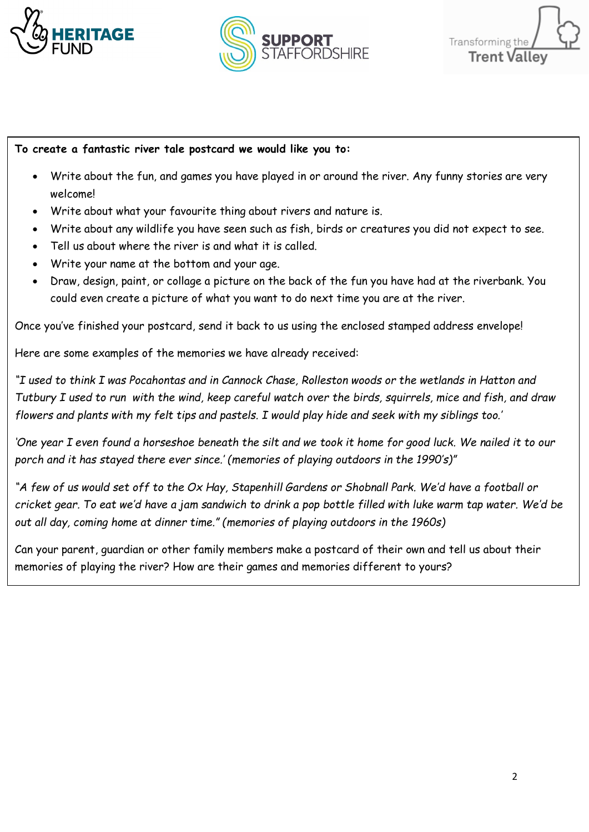





## **To create a fantastic river tale postcard we would like you to:**

- Write about the fun, and games you have played in or around the river. Any funny stories are very welcome!
- Write about what your favourite thing about rivers and nature is.
- Write about any wildlife you have seen such as fish, birds or creatures you did not expect to see.
- Tell us about where the river is and what it is called.
- Write your name at the bottom and your age.
- Draw, design, paint, or collage a picture on the back of the fun you have had at the riverbank. You could even create a picture of what you want to do next time you are at the river.

Once you've finished your postcard, send it back to us using the enclosed stamped address envelope!

Here are some examples of the memories we have already received:

*"I used to think I was Pocahontas and in Cannock Chase, Rolleston woods or the wetlands in Hatton and Tutbury I used to run with the wind, keep careful watch over the birds, squirrels, mice and fish, and draw flowers and plants with my felt tips and pastels. I would play hide and seek with my siblings too.'* 

*'One year I even found a horseshoe beneath the silt and we took it home for good luck. We nailed it to our porch and it has stayed there ever since.' (memories of playing outdoors in the 1990's)"*

*"A few of us would set off to the Ox Hay, Stapenhill Gardens or Shobnall Park. We'd have a football or cricket gear. To eat we'd have a jam sandwich to drink a pop bottle filled with luke warm tap water. We'd be out all day, coming home at dinner time." (memories of playing outdoors in the 1960s)*

Can your parent, guardian or other family members make a postcard of their own and tell us about their memories of playing the river? How are their games and memories different to yours?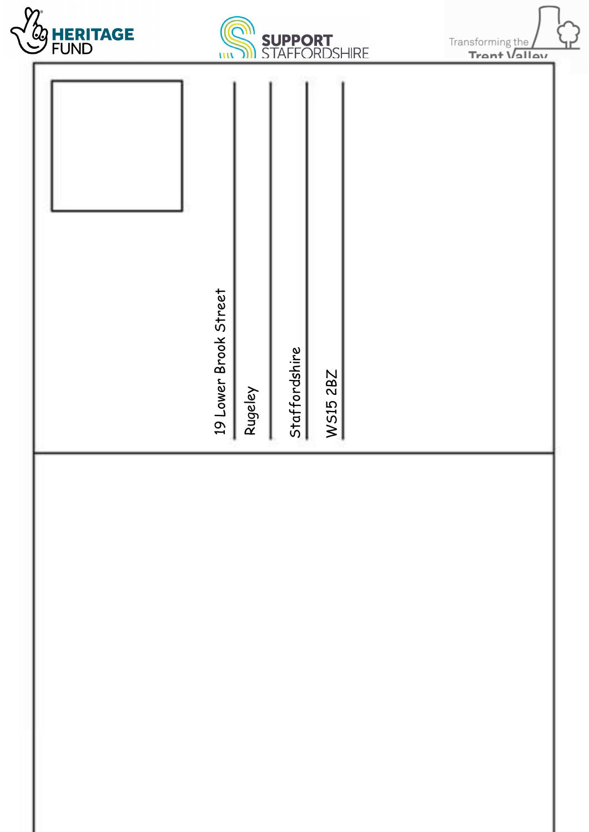





| 19 Lower Brook Street | Rugeley | Staffordshire | W515 2BZ |  |
|-----------------------|---------|---------------|----------|--|
|                       |         |               |          |  |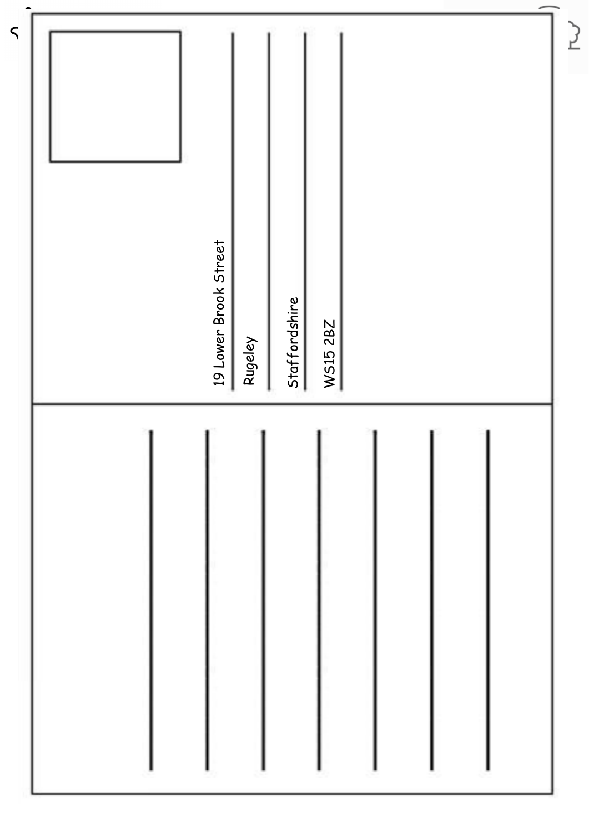| 19 Lower Brook Street<br>Staffordshire<br>W515 2BZ<br>Rugeley | <u>)</u> |
|---------------------------------------------------------------|----------|
|                                                               |          |

 $\leq$